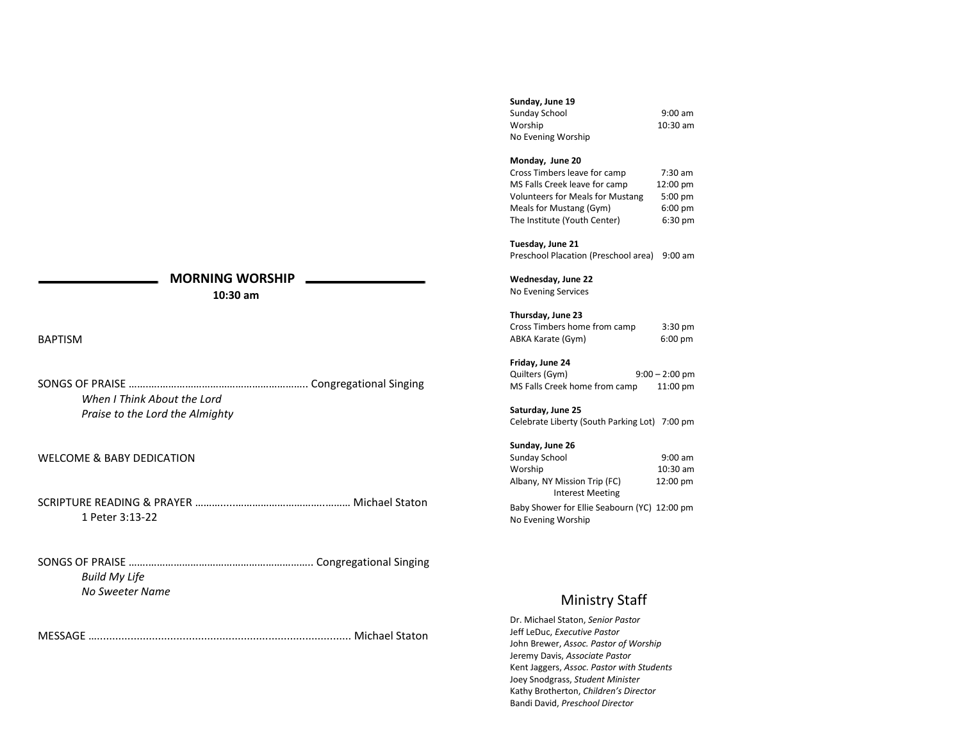# **MORNING WORSHIP**

 **10:30 am**

BAPTISM

| When I Think About the Lord     |  |
|---------------------------------|--|
| Praise to the Lord the Almighty |  |

# WELCOME & BABY DEDICATION

SCRIPTURE READING & PRAYER ……….....…………………………..……… Michael Staton 1 Peter 3:13-22

SONGS OF PRAISE …….………………………………………………….. Congregational Singing *Build My Life No Sweeter Name*

MESSAGE …................................................................................... Michael Staton

# **Sunday, June 19**

| Sunday School      | $9:00$ am |
|--------------------|-----------|
| Worship            | 10:30 am  |
| No Evening Worship |           |

#### **Monday, June 20**

Cross Timbers leave for camp 7:30 am MS Falls Creek leave for camp 12:00 pm Volunteers for Meals for Mustang 5:00 pm Meals for Mustang (Gym) 6:00 pm The Institute (Youth Center) 6:30 pm

# **Tuesday, June 21**

Preschool Placation (Preschool area) 9:00 am

# **Wednesday, June 22**

No Evening Services

# **Thursday, June 23**

Cross Timbers home from camp 3:30 pm<br>ABKA Karate (Gym) 6:00 pm ABKA Karate (Gym)

# **Friday, June 24**

| Quilters (Gym)                | $9:00 - 2:00$ pm   |
|-------------------------------|--------------------|
| MS Falls Creek home from camp | $11:00 \text{ pm}$ |

#### **Saturday, June 25**

Celebrate Liberty (South Parking Lot) 7:00 pm

# **Sunday, June 26**

| Sunday School                                           | $9:00$ am          |
|---------------------------------------------------------|--------------------|
| Worship                                                 | 10:30 am           |
| Albany, NY Mission Trip (FC)<br><b>Interest Meeting</b> | $12:00 \text{ pm}$ |
|                                                         |                    |

Baby Shower for Ellie Seabourn (YC) 12:00 pm No Evening Worship

# Ministry Staff

Dr. Michael Staton, *Senior Pastor* Jeff LeDuc, *Executive Pastor* John Brewer, *Assoc. Pastor of Worship* Jeremy Davis, *Associate Pastor* Kent Jaggers, *Assoc. Pastor with Students* Joey Snodgrass, *Student Minister* Kathy Brotherton, *Children's Director* Bandi David, *Preschool Director*